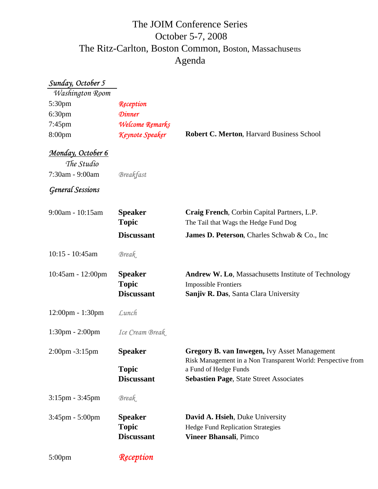## The Ritz-Carlton, Boston Common, Boston, Massachusetts October 5-7, 2008 The JOIM Conference Series Agenda

| Sunday, October 5                  |                                                     |                                                                                                                                       |
|------------------------------------|-----------------------------------------------------|---------------------------------------------------------------------------------------------------------------------------------------|
| Washington Room                    |                                                     |                                                                                                                                       |
| 5:30pm                             | Reception                                           |                                                                                                                                       |
| 6:30 <sub>pm</sub>                 | <b>Dinner</b>                                       |                                                                                                                                       |
| 7:45pm                             | Welcome Remarks                                     |                                                                                                                                       |
| 8:00pm                             | Keynote Speaker                                     | <b>Robert C. Merton, Harvard Business School</b>                                                                                      |
| Monday, October 6                  |                                                     |                                                                                                                                       |
| The Studio                         |                                                     |                                                                                                                                       |
| 7:30am - 9:00am                    | <b>Breakfast</b>                                    |                                                                                                                                       |
| <b>General Sessions</b>            |                                                     |                                                                                                                                       |
| 9:00am - 10:15am                   | <b>Speaker</b>                                      | Craig French, Corbin Capital Partners, L.P.                                                                                           |
|                                    | <b>Topic</b>                                        | The Tail that Wags the Hedge Fund Dog                                                                                                 |
|                                    | <b>Discussant</b>                                   | James D. Peterson, Charles Schwab & Co., Inc.                                                                                         |
| $10:15 - 10:45am$                  | <b>Break</b>                                        |                                                                                                                                       |
| 10:45am - 12:00pm                  | <b>Speaker</b><br><b>Topic</b><br><b>Discussant</b> | Andrew W. Lo, Massachusetts Institute of Technology<br><b>Impossible Frontiers</b><br>Sanjiv R. Das, Santa Clara University           |
|                                    |                                                     |                                                                                                                                       |
| $12:00 \text{pm} - 1:30 \text{pm}$ | Lunch                                               |                                                                                                                                       |
| 1:30pm - 2:00pm                    | Ice Cream Break                                     |                                                                                                                                       |
| $2:00$ pm $-3:15$ pm               | <b>Speaker</b>                                      | Gregory B. van Inwegen, Ivy Asset Management<br>Risk Management in a Non Transparent World: Perspective from<br>a Fund of Hedge Funds |
|                                    | <b>Topic</b>                                        |                                                                                                                                       |
|                                    | <b>Discussant</b>                                   | Sebastien Page, State Street Associates                                                                                               |
| $3:15$ pm - $3:45$ pm              | <b>Break</b>                                        |                                                                                                                                       |
| $3:45$ pm - $5:00$ pm              | <b>Speaker</b>                                      | David A. Hsieh, Duke University                                                                                                       |
|                                    | <b>Topic</b>                                        | <b>Hedge Fund Replication Strategies</b>                                                                                              |
|                                    | <b>Discussant</b>                                   | Vineer Bhansali, Pimco                                                                                                                |
| $5:00 \text{pm}$                   | Reception                                           |                                                                                                                                       |
|                                    |                                                     |                                                                                                                                       |